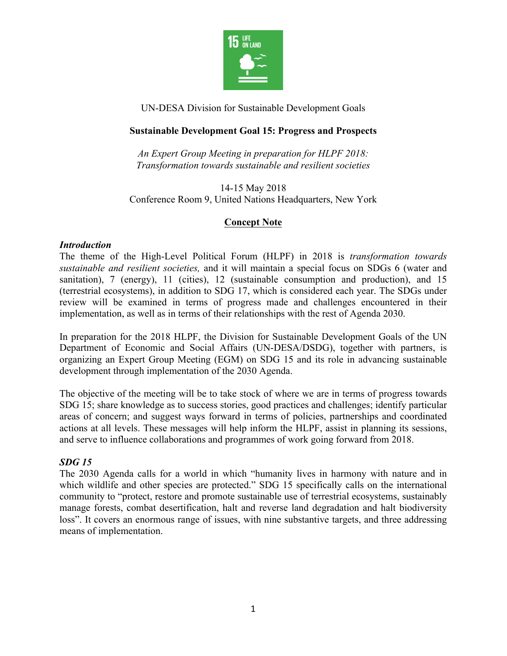

UN-DESA Division for Sustainable Development Goals

## **Sustainable Development Goal 15: Progress and Prospects**

*An Expert Group Meeting in preparation for HLPF 2018: Transformation towards sustainable and resilient societies*

14-15 May 2018 Conference Room 9, United Nations Headquarters, New York

# **Concept Note**

#### *Introduction*

The theme of the High-Level Political Forum (HLPF) in 2018 is *transformation towards sustainable and resilient societies,* and it will maintain a special focus on SDGs 6 (water and sanitation), 7 (energy), 11 (cities), 12 (sustainable consumption and production), and 15 (terrestrial ecosystems), in addition to SDG 17, which is considered each year. The SDGs under review will be examined in terms of progress made and challenges encountered in their implementation, as well as in terms of their relationships with the rest of Agenda 2030.

In preparation for the 2018 HLPF, the Division for Sustainable Development Goals of the UN Department of Economic and Social Affairs (UN-DESA/DSDG), together with partners, is organizing an Expert Group Meeting (EGM) on SDG 15 and its role in advancing sustainable development through implementation of the 2030 Agenda.

The objective of the meeting will be to take stock of where we are in terms of progress towards SDG 15; share knowledge as to success stories, good practices and challenges; identify particular areas of concern; and suggest ways forward in terms of policies, partnerships and coordinated actions at all levels. These messages will help inform the HLPF, assist in planning its sessions, and serve to influence collaborations and programmes of work going forward from 2018.

### *SDG 15*

The 2030 Agenda calls for a world in which "humanity lives in harmony with nature and in which wildlife and other species are protected." SDG 15 specifically calls on the international community to "protect, restore and promote sustainable use of terrestrial ecosystems, sustainably manage forests, combat desertification, halt and reverse land degradation and halt biodiversity loss". It covers an enormous range of issues, with nine substantive targets, and three addressing means of implementation.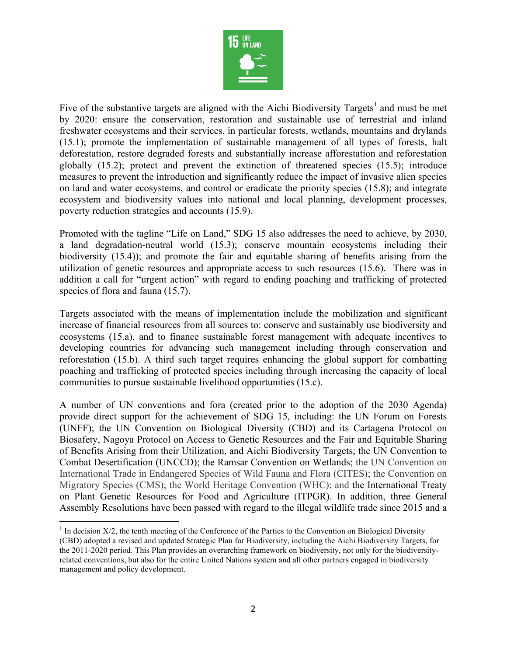

Five of the substantive targets are aligned with the Aichi Biodiversity Targets<sup>1</sup> and must be met by 2020: ensure the conservation, restoration and sustainable use of terrestrial and inland freshwater ecosystems and their services, in particular forests, wetlands, mountains and drylands (15.1); promote the implementation of sustainable management of all types of forests, halt deforestation, restore degraded forests and substantially increase afforestation and reforestation globally (15.2); protect and prevent the extinction of threatened species (15.5); introduce measures to prevent the introduction and significantly reduce the impact of invasive alien species on land and water ecosystems, and control or eradicate the priority species (15.8); and integrate ecosystem and biodiversity values into national and local planning, development processes, poverty reduction strategies and accounts (15.9).

Promoted with the tagline "Life on Land," SDG 15 also addresses the need to achieve, by 2030, a land degradation-neutral world (15.3); conserve mountain ecosystems including their biodiversity (15.4)); and promote the fair and equitable sharing of benefits arising from the utilization of genetic resources and appropriate access to such resources (15.6). There was in addition a call for "urgent action" with regard to ending poaching and trafficking of protected species of flora and fauna (15.7).

Targets associated with the means of implementation include the mobilization and significant increase of financial resources from all sources to: conserve and sustainably use biodiversity and ecosystems (15.a), and to finance sustainable forest management with adequate incentives to developing countries for advancing such management including through conservation and reforestation (15.b). A third such target requires enhancing the global support for combatting poaching and trafficking of protected species including through increasing the capacity of local communities to pursue sustainable livelihood opportunities (15.c).

A number of UN conventions and fora (created prior to the adoption of the 2030 Agenda) provide direct support for the achievement of SDG 15, including: the UN Forum on Forests (UNFF); the UN Convention on Biological Diversity (CBD) and its Cartagena Protocol on Biosafety, Nagoya Protocol on Access to Genetic Resources and the Fair and Equitable Sharing of Benefits Arising from their Utilization, and Aichi Biodiversity Targets; the UN Convention to Combat Desertification (UNCCD); the Ramsar Convention on Wetlands; the UN Convention on International Trade in Endangered Species of Wild Fauna and Flora (CITES); the Convention on Migratory Species (CMS); the World Heritage Convention (WHC); and the International Treaty on Plant Genetic Resources for Food and Agriculture (ITPGR). In addition, three General Assembly Resolutions have been passed with regard to the illegal wildlife trade since 2015 and a

 $<sup>1</sup>$  In decision X/2, the tenth meeting of the Conference of the Parties to the Convention on Biological Diversity</sup> (CBD) adopted a revised and updated Strategic Plan for Biodiversity, including the Aichi Biodiversity Targets, for the 2011-2020 period. This Plan provides an overarching framework on biodiversity, not only for the biodiversityrelated conventions, but also for the entire United Nations system and all other partners engaged in biodiversity management and policy development.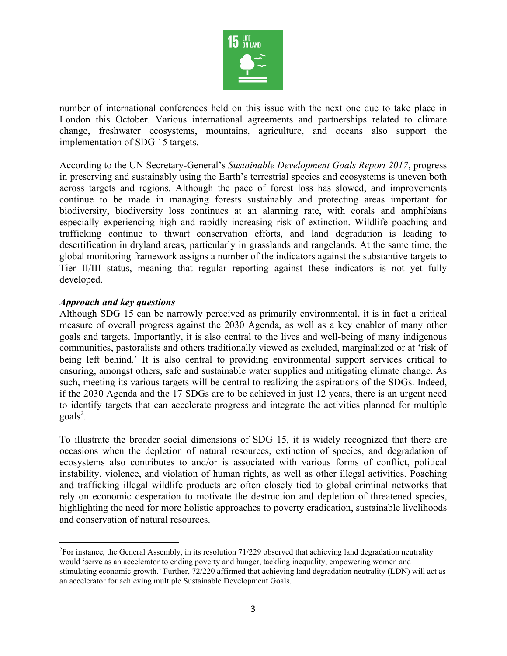

number of international conferences held on this issue with the next one due to take place in London this October. Various international agreements and partnerships related to climate change, freshwater ecosystems, mountains, agriculture, and oceans also support the implementation of SDG 15 targets.

According to the UN Secretary-General's *Sustainable Development Goals Report 2017*, progress in preserving and sustainably using the Earth's terrestrial species and ecosystems is uneven both across targets and regions. Although the pace of forest loss has slowed, and improvements continue to be made in managing forests sustainably and protecting areas important for biodiversity, biodiversity loss continues at an alarming rate, with corals and amphibians especially experiencing high and rapidly increasing risk of extinction. Wildlife poaching and trafficking continue to thwart conservation efforts, and land degradation is leading to desertification in dryland areas, particularly in grasslands and rangelands. At the same time, the global monitoring framework assigns a number of the indicators against the substantive targets to Tier II/III status, meaning that regular reporting against these indicators is not yet fully developed.

### *Approach and key questions*

Although SDG 15 can be narrowly perceived as primarily environmental, it is in fact a critical measure of overall progress against the 2030 Agenda, as well as a key enabler of many other goals and targets. Importantly, it is also central to the lives and well-being of many indigenous communities, pastoralists and others traditionally viewed as excluded, marginalized or at 'risk of being left behind.' It is also central to providing environmental support services critical to ensuring, amongst others, safe and sustainable water supplies and mitigating climate change. As such, meeting its various targets will be central to realizing the aspirations of the SDGs. Indeed, if the 2030 Agenda and the 17 SDGs are to be achieved in just 12 years, there is an urgent need to identify targets that can accelerate progress and integrate the activities planned for multiple  $\text{goals}^2$ .

To illustrate the broader social dimensions of SDG 15, it is widely recognized that there are occasions when the depletion of natural resources, extinction of species, and degradation of ecosystems also contributes to and/or is associated with various forms of conflict, political instability, violence, and violation of human rights, as well as other illegal activities. Poaching and trafficking illegal wildlife products are often closely tied to global criminal networks that rely on economic desperation to motivate the destruction and depletion of threatened species, highlighting the need for more holistic approaches to poverty eradication, sustainable livelihoods and conservation of natural resources.

 $\frac{1}{2}$  $^{2}$ For instance, the General Assembly, in its resolution 71/229 observed that achieving land degradation neutrality would 'serve as an accelerator to ending poverty and hunger, tackling inequality, empowering women and stimulating economic growth.' Further, 72/220 affirmed that achieving land degradation neutrality (LDN) will act as an accelerator for achieving multiple Sustainable Development Goals.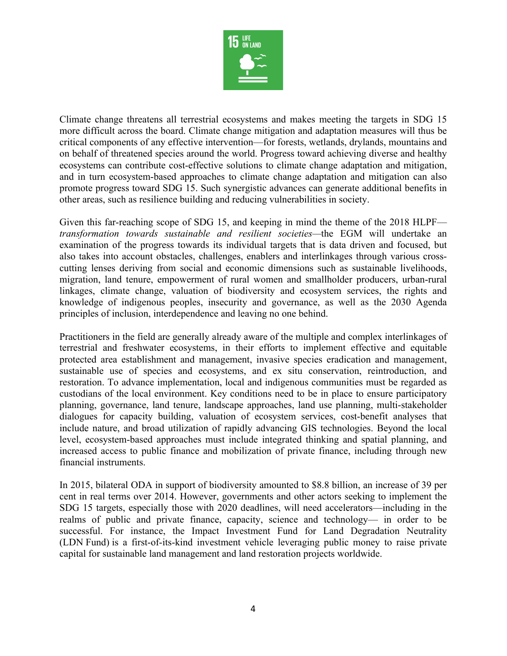

Climate change threatens all terrestrial ecosystems and makes meeting the targets in SDG 15 more difficult across the board. Climate change mitigation and adaptation measures will thus be critical components of any effective intervention—for forests, wetlands, drylands, mountains and on behalf of threatened species around the world. Progress toward achieving diverse and healthy ecosystems can contribute cost-effective solutions to climate change adaptation and mitigation, and in turn ecosystem-based approaches to climate change adaptation and mitigation can also promote progress toward SDG 15. Such synergistic advances can generate additional benefits in other areas, such as resilience building and reducing vulnerabilities in society.

Given this far-reaching scope of SDG 15, and keeping in mind the theme of the 2018 HLPF *transformation towards sustainable and resilient societies—*the EGM will undertake an examination of the progress towards its individual targets that is data driven and focused, but also takes into account obstacles, challenges, enablers and interlinkages through various crosscutting lenses deriving from social and economic dimensions such as sustainable livelihoods, migration, land tenure, empowerment of rural women and smallholder producers, urban-rural linkages, climate change, valuation of biodiversity and ecosystem services, the rights and knowledge of indigenous peoples, insecurity and governance, as well as the 2030 Agenda principles of inclusion, interdependence and leaving no one behind.

Practitioners in the field are generally already aware of the multiple and complex interlinkages of terrestrial and freshwater ecosystems, in their efforts to implement effective and equitable protected area establishment and management, invasive species eradication and management, sustainable use of species and ecosystems, and ex situ conservation, reintroduction, and restoration. To advance implementation, local and indigenous communities must be regarded as custodians of the local environment. Key conditions need to be in place to ensure participatory planning, governance, land tenure, landscape approaches, land use planning, multi-stakeholder dialogues for capacity building, valuation of ecosystem services, cost-benefit analyses that include nature, and broad utilization of rapidly advancing GIS technologies. Beyond the local level, ecosystem-based approaches must include integrated thinking and spatial planning, and increased access to public finance and mobilization of private finance, including through new financial instruments.

In 2015, bilateral ODA in support of biodiversity amounted to \$8.8 billion, an increase of 39 per cent in real terms over 2014. However, governments and other actors seeking to implement the SDG 15 targets, especially those with 2020 deadlines, will need accelerators—including in the realms of public and private finance, capacity, science and technology— in order to be successful. For instance, the Impact Investment Fund for Land Degradation Neutrality (LDN Fund) is a first-of-its-kind investment vehicle leveraging public money to raise private capital for sustainable land management and land restoration projects worldwide.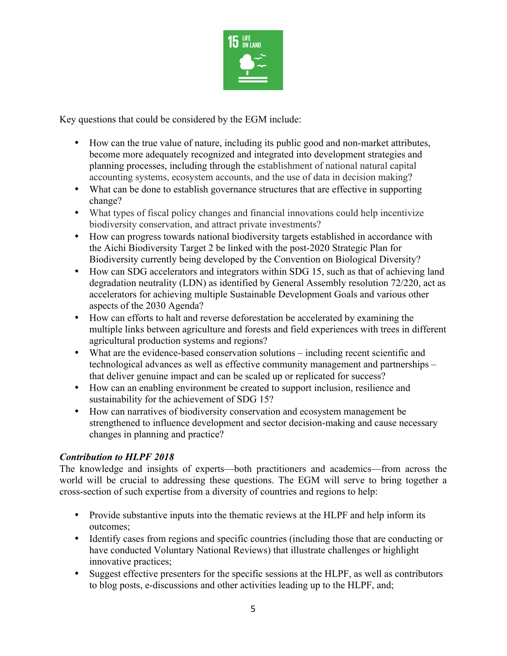

Key questions that could be considered by the EGM include:

- How can the true value of nature, including its public good and non-market attributes, become more adequately recognized and integrated into development strategies and planning processes, including through the establishment of national natural capital accounting systems, ecosystem accounts, and the use of data in decision making?
- What can be done to establish governance structures that are effective in supporting change?
- What types of fiscal policy changes and financial innovations could help incentivize biodiversity conservation, and attract private investments?
- How can progress towards national biodiversity targets established in accordance with the Aichi Biodiversity Target 2 be linked with the post-2020 Strategic Plan for Biodiversity currently being developed by the Convention on Biological Diversity?
- How can SDG accelerators and integrators within SDG 15, such as that of achieving land degradation neutrality (LDN) as identified by General Assembly resolution 72/220, act as accelerators for achieving multiple Sustainable Development Goals and various other aspects of the 2030 Agenda?
- How can efforts to halt and reverse deforestation be accelerated by examining the multiple links between agriculture and forests and field experiences with trees in different agricultural production systems and regions?
- What are the evidence-based conservation solutions including recent scientific and technological advances as well as effective community management and partnerships – that deliver genuine impact and can be scaled up or replicated for success?
- How can an enabling environment be created to support inclusion, resilience and sustainability for the achievement of SDG 15?
- How can narratives of biodiversity conservation and ecosystem management be strengthened to influence development and sector decision-making and cause necessary changes in planning and practice?

# *Contribution to HLPF 2018*

The knowledge and insights of experts—both practitioners and academics—from across the world will be crucial to addressing these questions. The EGM will serve to bring together a cross-section of such expertise from a diversity of countries and regions to help:

- Provide substantive inputs into the thematic reviews at the HLPF and help inform its outcomes;
- Identify cases from regions and specific countries (including those that are conducting or have conducted Voluntary National Reviews) that illustrate challenges or highlight innovative practices;
- Suggest effective presenters for the specific sessions at the HLPF, as well as contributors to blog posts, e-discussions and other activities leading up to the HLPF, and;